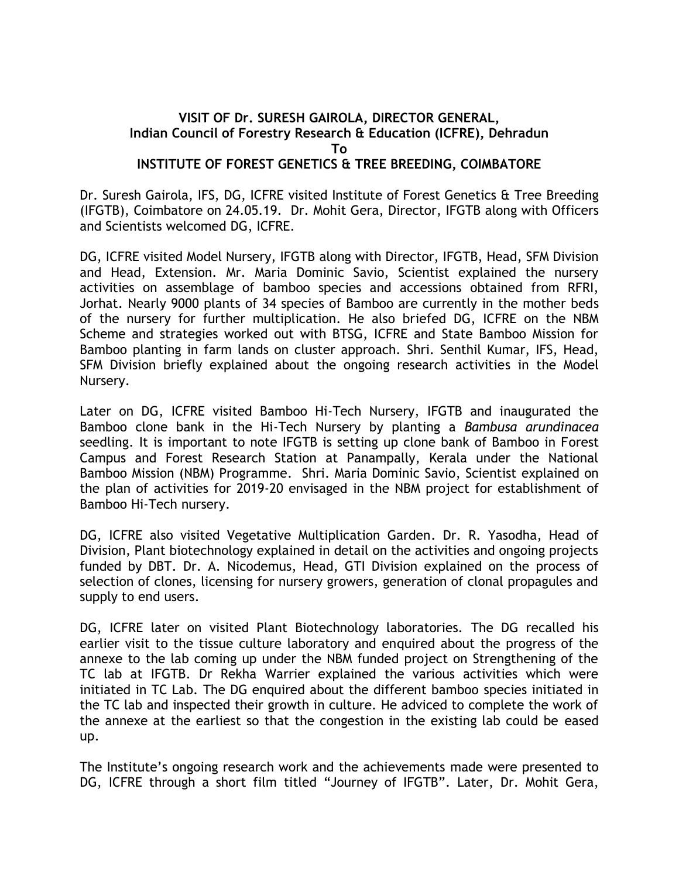## **VISIT OF Dr. SURESH GAIROLA, DIRECTOR GENERAL, Indian Council of Forestry Research & Education (ICFRE), Dehradun To INSTITUTE OF FOREST GENETICS & TREE BREEDING, COIMBATORE**

Dr. Suresh Gairola, IFS, DG, ICFRE visited Institute of Forest Genetics & Tree Breeding (IFGTB), Coimbatore on 24.05.19. Dr. Mohit Gera, Director, IFGTB along with Officers and Scientists welcomed DG, ICFRE.

DG, ICFRE visited Model Nursery, IFGTB along with Director, IFGTB, Head, SFM Division and Head, Extension. Mr. Maria Dominic Savio, Scientist explained the nursery activities on assemblage of bamboo species and accessions obtained from RFRI, Jorhat. Nearly 9000 plants of 34 species of Bamboo are currently in the mother beds of the nursery for further multiplication. He also briefed DG, ICFRE on the NBM Scheme and strategies worked out with BTSG, ICFRE and State Bamboo Mission for Bamboo planting in farm lands on cluster approach. Shri. Senthil Kumar, IFS, Head, SFM Division briefly explained about the ongoing research activities in the Model Nursery.

Later on DG, ICFRE visited Bamboo Hi-Tech Nursery, IFGTB and inaugurated the Bamboo clone bank in the Hi-Tech Nursery by planting a *Bambusa arundinacea* seedling. It is important to note IFGTB is setting up clone bank of Bamboo in Forest Campus and Forest Research Station at Panampally, Kerala under the National Bamboo Mission (NBM) Programme. Shri. Maria Dominic Savio, Scientist explained on the plan of activities for 2019-20 envisaged in the NBM project for establishment of Bamboo Hi-Tech nursery.

DG, ICFRE also visited Vegetative Multiplication Garden. Dr. R. Yasodha, Head of Division, Plant biotechnology explained in detail on the activities and ongoing projects funded by DBT. Dr. A. Nicodemus, Head, GTI Division explained on the process of selection of clones, licensing for nursery growers, generation of clonal propagules and supply to end users.

DG, ICFRE later on visited Plant Biotechnology laboratories. The DG recalled his earlier visit to the tissue culture laboratory and enquired about the progress of the annexe to the lab coming up under the NBM funded project on Strengthening of the TC lab at IFGTB. Dr Rekha Warrier explained the various activities which were initiated in TC Lab. The DG enquired about the different bamboo species initiated in the TC lab and inspected their growth in culture. He adviced to complete the work of the annexe at the earliest so that the congestion in the existing lab could be eased up.

The Institute's ongoing research work and the achievements made were presented to DG, ICFRE through a short film titled "Journey of IFGTB". Later, Dr. Mohit Gera,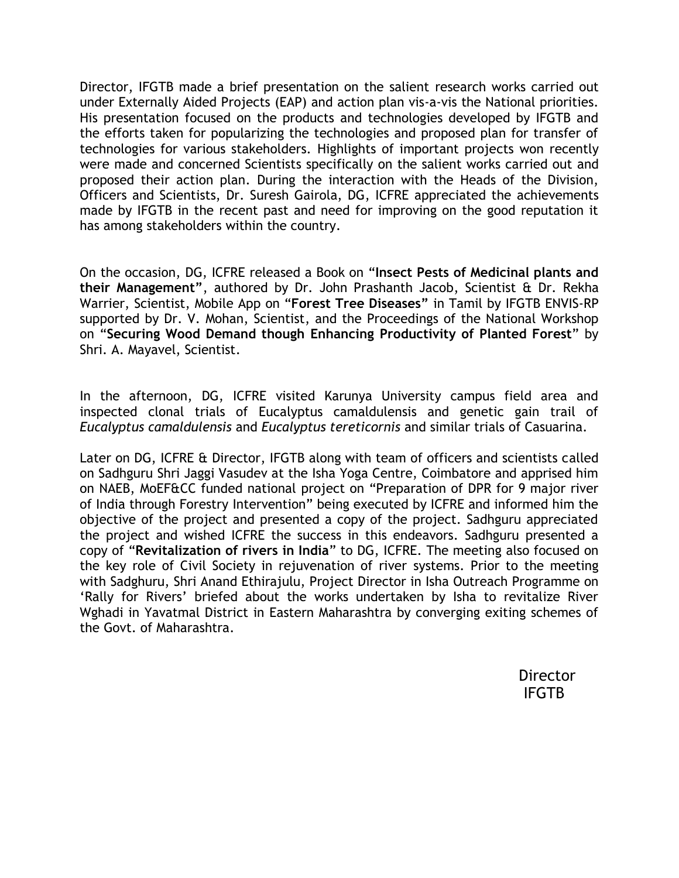Director, IFGTB made a brief presentation on the salient research works carried out under Externally Aided Projects (EAP) and action plan vis-a-vis the National priorities. His presentation focused on the products and technologies developed by IFGTB and the efforts taken for popularizing the technologies and proposed plan for transfer of technologies for various stakeholders. Highlights of important projects won recently were made and concerned Scientists specifically on the salient works carried out and proposed their action plan. During the interaction with the Heads of the Division, Officers and Scientists, Dr. Suresh Gairola, DG, ICFRE appreciated the achievements made by IFGTB in the recent past and need for improving on the good reputation it has among stakeholders within the country.

On the occasion, DG, ICFRE released a Book on "**Insect Pests of Medicinal plants and their Management"**, authored by Dr. John Prashanth Jacob, Scientist & Dr. Rekha Warrier, Scientist, Mobile App on "**Forest Tree Diseases"** in Tamil by IFGTB ENVIS-RP supported by Dr. V. Mohan, Scientist, and the Proceedings of the National Workshop on "**Securing Wood Demand though Enhancing Productivity of Planted Forest**" by Shri. A. Mayavel, Scientist.

In the afternoon, DG, ICFRE visited Karunya University campus field area and inspected clonal trials of Eucalyptus camaldulensis and genetic gain trail of *Eucalyptus camaldulensis* and *Eucalyptus tereticornis* and similar trials of Casuarina.

Later on DG, ICFRE & Director, IFGTB along with team of officers and scientists called on Sadhguru Shri Jaggi Vasudev at the Isha Yoga Centre, Coimbatore and apprised him on NAEB, MoEF&CC funded national project on "Preparation of DPR for 9 major river of India through Forestry Intervention" being executed by ICFRE and informed him the objective of the project and presented a copy of the project. Sadhguru appreciated the project and wished ICFRE the success in this endeavors. Sadhguru presented a copy of "**Revitalization of rivers in India**" to DG, ICFRE. The meeting also focused on the key role of Civil Society in rejuvenation of river systems. Prior to the meeting with Sadghuru, Shri Anand Ethirajulu, Project Director in Isha Outreach Programme on 'Rally for Rivers' briefed about the works undertaken by Isha to revitalize River Wghadi in Yavatmal District in Eastern Maharashtra by converging exiting schemes of the Govt. of Maharashtra.

> **Director** IFGTB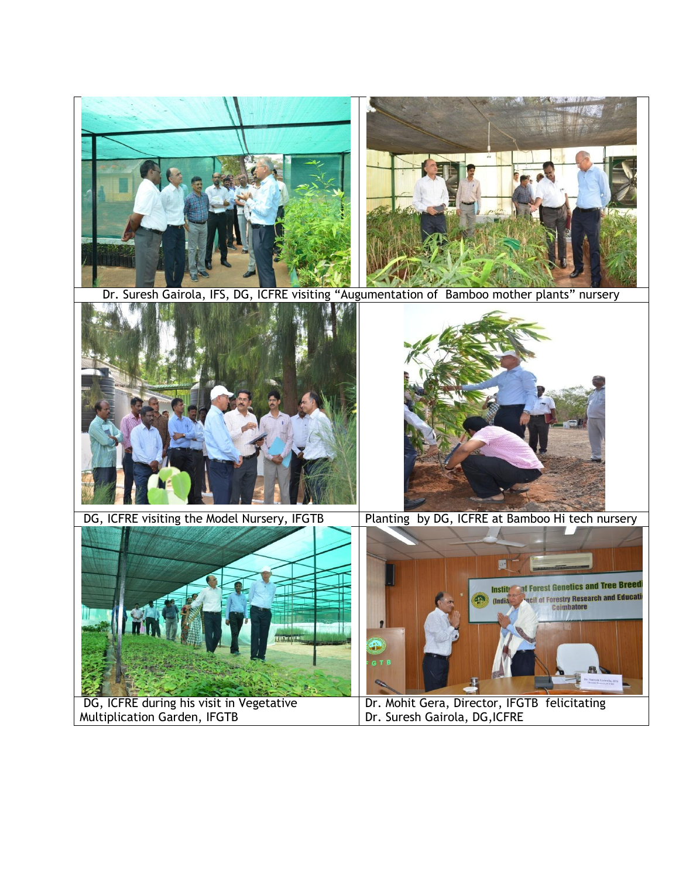

Dr. Suresh Gairola, IFS, DG, ICFRE visiting "Augumentation of Bamboo mother plants" nursery





DG, ICFRE visiting the Model Nursery, IFGTB Planting by DG, ICFRE at Bamboo Hi tech nursery